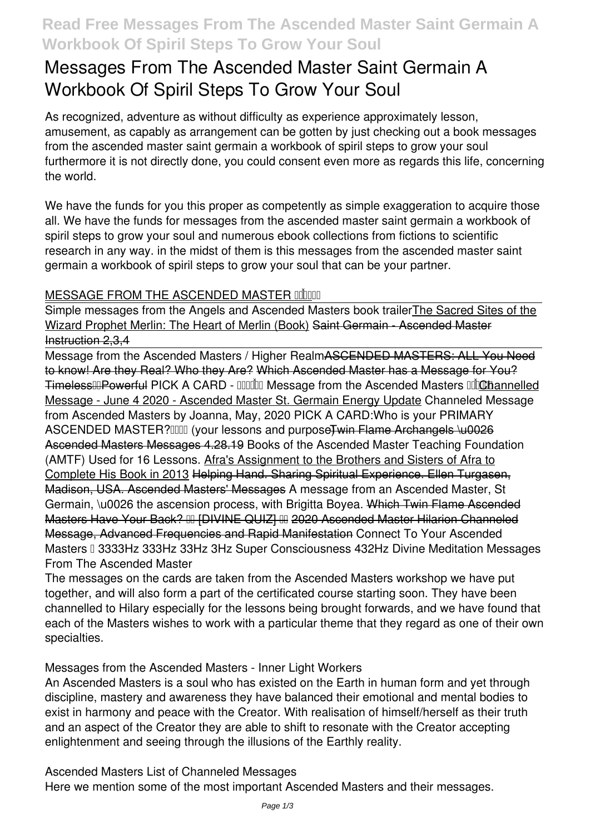## **Read Free Messages From The Ascended Master Saint Germain A Workbook Of Spiril Steps To Grow Your Soul**

# **Messages From The Ascended Master Saint Germain A Workbook Of Spiril Steps To Grow Your Soul**

As recognized, adventure as without difficulty as experience approximately lesson, amusement, as capably as arrangement can be gotten by just checking out a book **messages from the ascended master saint germain a workbook of spiril steps to grow your soul** furthermore it is not directly done, you could consent even more as regards this life, concerning the world.

We have the funds for you this proper as competently as simple exaggeration to acquire those all. We have the funds for messages from the ascended master saint germain a workbook of spiril steps to grow your soul and numerous ebook collections from fictions to scientific research in any way. in the midst of them is this messages from the ascended master saint germain a workbook of spiril steps to grow your soul that can be your partner.

#### **MESSAGE FROM THE ASCENDED MASTER COLOR**

Simple messages from the Angels and Ascended Masters book trailerThe Sacred Sites of the Wizard Prophet Merlin: The Heart of Merlin (Book) Saint Germain - Ascended Master Instruction 2,3,4

Message from the Ascended Masters / Higher RealmASCENDED MASTERS: ALL You Need to know! Are they Real? Who they Are? Which Ascended Master has a Message for You? TimelessHPowerful PICK A CARD - HHUM Message from the Ascended Masters Hind Dannelled Message - June 4 2020 - Ascended Master St. Germain Energy Update **Channeled Message from Ascended Masters by Joanna, May, 2020** PICK A CARD:Who is your PRIMARY ASCENDED MASTER? [101] (your lessons and purpose Twin Flame Archangels \u0026 Ascended Masters Messages 4.28.19 *Books of the Ascended Master Teaching Foundation (AMTF) Used for 16 Lessons.* Afra's Assignment to the Brothers and Sisters of Afra to Complete His Book in 2013 Helping Hand. Sharing Spiritual Experience. Ellen Turgasen, Madison, USA. Ascended Masters' Messages *A message from an Ascended Master, St Germain, \u0026 the ascension process, with Brigitta Boyea.* Which Twin Flame Ascended Masters Have Your Back? �� [DIVINE QUIZ] �� 2020 Ascended Master Hilarion Channeled Message, Advanced Frequencies and Rapid Manifestation Connect To Your Ascended Masters ꩜ 3333Hz 333Hz 33Hz 3Hz Super Consciousness 432Hz Divine Meditation **Messages From The Ascended Master**

The messages on the cards are taken from the Ascended Masters workshop we have put together, and will also form a part of the certificated course starting soon. They have been channelled to Hilary especially for the lessons being brought forwards, and we have found that each of the Masters wishes to work with a particular theme that they regard as one of their own specialties.

**Messages from the Ascended Masters - Inner Light Workers**

An Ascended Masters is a soul who has existed on the Earth in human form and yet through discipline, mastery and awareness they have balanced their emotional and mental bodies to exist in harmony and peace with the Creator. With realisation of himself/herself as their truth and an aspect of the Creator they are able to shift to resonate with the Creator accepting enlightenment and seeing through the illusions of the Earthly reality.

**Ascended Masters List of Channeled Messages**

Here we mention some of the most important Ascended Masters and their messages.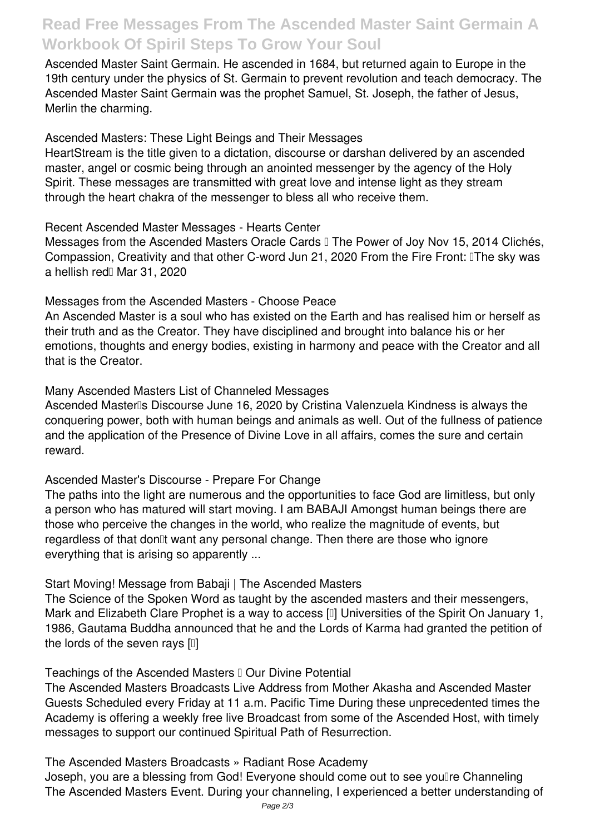### **Read Free Messages From The Ascended Master Saint Germain A Workbook Of Spiril Steps To Grow Your Soul**

Ascended Master Saint Germain. He ascended in 1684, but returned again to Europe in the 19th century under the physics of St. Germain to prevent revolution and teach democracy. The Ascended Master Saint Germain was the prophet Samuel, St. Joseph, the father of Jesus, Merlin the charming.

**Ascended Masters: These Light Beings and Their Messages**

HeartStream is the title given to a dictation, discourse or darshan delivered by an ascended master, angel or cosmic being through an anointed messenger by the agency of the Holy Spirit. These messages are transmitted with great love and intense light as they stream through the heart chakra of the messenger to bless all who receive them.

**Recent Ascended Master Messages - Hearts Center**

Messages from the Ascended Masters Oracle Cards II The Power of Joy Nov 15, 2014 Clichés, Compassion, Creativity and that other C-word Jun 21, 2020 From the Fire Front: 'The sky was a hellish red<sup>[]</sup> Mar 31, 2020

**Messages from the Ascended Masters - Choose Peace**

An Ascended Master is a soul who has existed on the Earth and has realised him or herself as their truth and as the Creator. They have disciplined and brought into balance his or her emotions, thoughts and energy bodies, existing in harmony and peace with the Creator and all that is the Creator.

**Many Ascended Masters List of Channeled Messages**

Ascended Masterlls Discourse June 16, 2020 by Cristina Valenzuela Kindness is always the conquering power, both with human beings and animals as well. Out of the fullness of patience and the application of the Presence of Divine Love in all affairs, comes the sure and certain reward.

**Ascended Master's Discourse - Prepare For Change**

The paths into the light are numerous and the opportunities to face God are limitless, but only a person who has matured will start moving. I am BABAJI Amongst human beings there are those who perceive the changes in the world, who realize the magnitude of events, but regardless of that don<sup>[]</sup>t want any personal change. Then there are those who ignore everything that is arising so apparently ...

**Start Moving! Message from Babaji | The Ascended Masters**

The Science of the Spoken Word as taught by the ascended masters and their messengers, Mark and Elizabeth Clare Prophet is a way to access [1] Universities of the Spirit On January 1, 1986, Gautama Buddha announced that he and the Lords of Karma had granted the petition of the lords of the seven rays  $[1]$ 

Teachings of the Ascended Masters II Our Divine Potential

The Ascended Masters Broadcasts Live Address from Mother Akasha and Ascended Master Guests Scheduled every Friday at 11 a.m. Pacific Time During these unprecedented times the Academy is offering a weekly free live Broadcast from some of the Ascended Host, with timely messages to support our continued Spiritual Path of Resurrection.

**The Ascended Masters Broadcasts » Radiant Rose Academy** Joseph, you are a blessing from God! Everyone should come out to see youllre Channeling The Ascended Masters Event. During your channeling, I experienced a better understanding of